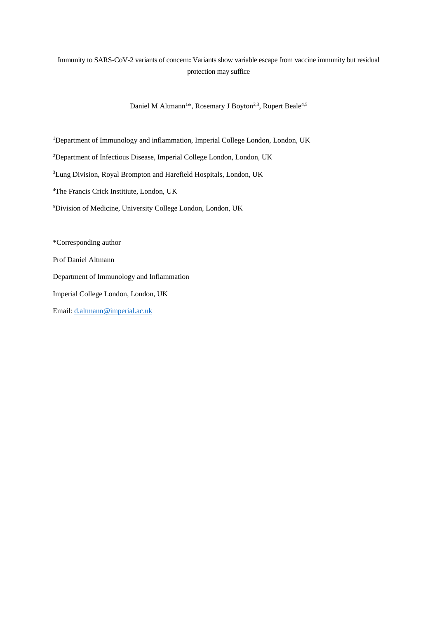## Immunity to SARS-CoV-2 variants of concern**:** Variants show variable escape from vaccine immunity but residual protection may suffice

Daniel M Altmann<sup>1\*</sup>, Rosemary J Boyton<sup>2,3</sup>, Rupert Beale<sup>4,5</sup>

<sup>1</sup>Department of Immunology and inflammation, Imperial College London, London, UK

<sup>2</sup>Department of Infectious Disease, Imperial College London, London, UK

<sup>3</sup>Lung Division, Royal Brompton and Harefield Hospitals, London, UK

<sup>4</sup>The Francis Crick Institiute, London, UK

<sup>5</sup>Division of Medicine, University College London, London, UK

\*Corresponding author Prof Daniel Altmann Department of Immunology and Inflammation Imperial College London, London, UK Email: [d.altmann@imperial.ac.uk](mailto:d.altmann@imperial.ac.uk)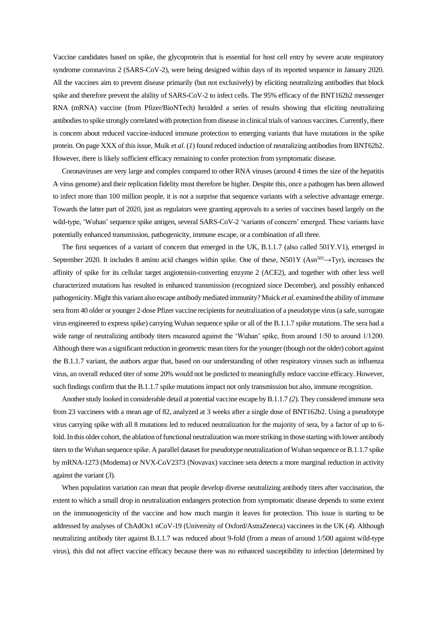Vaccine candidates based on spike, the glycoprotein that is essential for host cell entry by severe acute respiratory syndrome coronavirus 2 (SARS-CoV-2), were being designed within days of its reported sequence in January 2020. All the vaccines aim to prevent disease primarily (but not exclusively) by eliciting neutralizing antibodies that block spike and therefore prevent the ability of SARS-CoV-2 to infect cells. The 95% efficacy of the BNT162b2 messenger RNA (mRNA) vaccine (from Pfizer/BioNTech) heralded a series of results showing that eliciting neutralizing antibodies to spike strongly correlated with protection from disease in clinical trials of various vaccines. Currently, there is concern about reduced vaccine-induced immune protection to emerging variants that have mutations in the spike protein. On page XXX of this issue, Muik *et al*. (*1*) found reduced induction of neutralizing antibodies from BNT62b2. However, there is likely sufficient efficacy remaining to confer protection from symptomatic disease.

Coronaviruses are very large and complex compared to other RNA viruses (around 4 times the size of the hepatitis A virus genome) and their replication fidelity must therefore be higher. Despite this, once a pathogen has been allowed to infect more than 100 million people, it is not a surprise that sequence variants with a selective advantage emerge. Towards the latter part of 2020, just as regulators were granting approvals to a series of vaccines based largely on the wild-type, 'Wuhan' sequence spike antigen, several SARS-CoV-2 'variants of concern' emerged. These variants have potentially enhanced transmission, pathogenicity, immune escape, or a combination of all three.

The first sequences of a variant of concern that emerged in the UK, B.1.1.7 (also called 501Y.V1), emerged in September 2020. It includes 8 amino acid changes within spike. One of these, N501Y (Asn<sup>501</sup>→Tyr), increases the affinity of spike for its cellular target angiotensin-converting enzyme 2 (ACE2), and together with other less well characterized mutations has resulted in enhanced transmission (recognized since December), and possibly enhanced pathogenicity. Might this variant also escape antibody mediated immunity? Muick *et al.* examined the ability of immune sera from 40 older or younger 2-dose Pfizer vaccine recipients for neutralization of a pseudotype virus (a safe, surrogate virus engineered to express spike) carrying Wuhan sequence spike or all of the B.1.1.7 spike mutations. The sera had a wide range of neutralizing antibody titers measured against the 'Wuhan' spike, from around 1/50 to around 1/1200. Although there was a significant reduction in geometric mean titers for the younger (though not the older) cohort against the B.1.1.7 variant, the authors argue that, based on our understanding of other respiratory viruses such as influenza virus, an overall reduced titer of some 20% would not be predicted to meaningfully reduce vaccine efficacy. However, such findings confirm that the B.1.1.7 spike mutations impact not only transmission but also, immune recognition.

Another study looked in considerable detail at potential vaccine escape by B.1.1.7 *(2*). They considered immune sera from 23 vaccinees with a mean age of 82, analyzed at 3 weeks after a single dose of BNT162b2. Using a pseudotype virus carrying spike with all 8 mutations led to reduced neutralization for the majority of sera, by a factor of up to 6 fold. In this older cohort, the ablation of functional neutralization was more striking in those starting with lower antibody titers to the Wuhan sequence spike. A parallel dataset for pseudotype neutralization of Wuhan sequence or B.1.1.7 spike by mRNA-1273 (Moderna) or NVX-CoV2373 (Novavax) vaccinee sera detects a more marginal reduction in activity against the variant (*3*).

When population variation can mean that people develop diverse neutralizing antibody titers after vaccination, the extent to which a small drop in neutralization endangers protection from symptomatic disease depends to some extent on the immunogenicity of the vaccine and how much margin it leaves for protection. This issue is starting to be addressed by analyses of ChAdOx1 nCoV-19 (University of Oxford/AstraZeneca) vaccinees in the UK (*4*). Although neutralizing antibody titer against B.1.1.7 was reduced about 9-fold (from a mean of around 1/500 against wild-type virus), this did not affect vaccine efficacy because there was no enhanced susceptibility to infection [determined by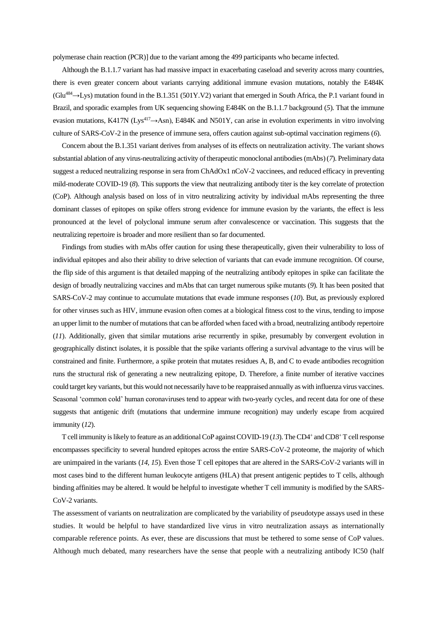polymerase chain reaction (PCR)] due to the variant among the 499 participants who became infected.

Although the B.1.1.7 variant has had massive impact in exacerbating caseload and severity across many countries, there is even greater concern about variants carrying additional immune evasion mutations, notably the E484K  $(Glu<sup>484</sup> \rightarrow Lvs)$  mutation found in the B.1.351 (501Y.V2) variant that emerged in South Africa, the P.1 variant found in Brazil, and sporadic examples from UK sequencing showing E484K on the B.1.1.7 background (*5*). That the immune evasion mutations, K417N (Lys<sup>417</sup> $\rightarrow$ Asn), E484K and N501Y, can arise in evolution experiments in vitro involving culture of SARS-CoV-2 in the presence of immune sera, offers caution against sub-optimal vaccination regimens (*6*).

Concern about the B.1.351 variant derives from analyses of its effects on neutralization activity. The variant shows substantial ablation of any virus-neutralizing activity of therapeutic monoclonal antibodies (mAbs) (*7*). Preliminary data suggest a reduced neutralizing response in sera from ChAdOx1 nCoV-2 vaccinees, and reduced efficacy in preventing mild-moderate COVID-19 (*8*). This supports the view that neutralizing antibody titer is the key correlate of protection (CoP). Although analysis based on loss of in vitro neutralizing activity by individual mAbs representing the three dominant classes of epitopes on spike offers strong evidence for immune evasion by the variants, the effect is less pronounced at the level of polyclonal immune serum after convalescence or vaccination. This suggests that the neutralizing repertoire is broader and more resilient than so far documented.

Findings from studies with mAbs offer caution for using these therapeutically, given their vulnerability to loss of individual epitopes and also their ability to drive selection of variants that can evade immune recognition. Of course, the flip side of this argument is that detailed mapping of the neutralizing antibody epitopes in spike can facilitate the design of broadly neutralizing vaccines and mAbs that can target numerous spike mutants (*9*). It has been posited that SARS-CoV-2 may continue to accumulate mutations that evade immune responses (*10*). But, as previously explored for other viruses such as HIV, immune evasion often comes at a biological fitness cost to the virus, tending to impose an upper limit to the number of mutations that can be afforded when faced with a broad, neutralizing antibody repertoire (*11*). Additionally, given that similar mutations arise recurrently in spike, presumably by convergent evolution in geographically distinct isolates, it is possible that the spike variants offering a survival advantage to the virus will be constrained and finite. Furthermore, a spike protein that mutates residues A, B, and C to evade antibodies recognition runs the structural risk of generating a new neutralizing epitope, D. Therefore, a finite number of iterative vaccines could target key variants, but this would not necessarily have to be reappraised annually as with influenza virus vaccines. Seasonal 'common cold' human coronaviruses tend to appear with two-yearly cycles, and recent data for one of these suggests that antigenic drift (mutations that undermine immune recognition) may underly escape from acquired immunity (*12*).

T cell immunity is likely to feature as an additional CoP against COVID-19 (13). The CD4<sup>+</sup> and CD8<sup>+</sup> T cell response encompasses specificity to several hundred epitopes across the entire SARS-CoV-2 proteome, the majority of which are unimpaired in the variants (*14, 15*). Even those T cell epitopes that are altered in the SARS-CoV-2 variants will in most cases bind to the different human leukocyte antigens (HLA) that present antigenic peptides to T cells, although binding affinities may be altered. It would be helpful to investigate whether T cell immunity is modified by the SARS-CoV-2 variants.

The assessment of variants on neutralization are complicated by the variability of pseudotype assays used in these studies. It would be helpful to have standardized live virus in vitro neutralization assays as internationally comparable reference points. As ever, these are discussions that must be tethered to some sense of CoP values. Although much debated, many researchers have the sense that people with a neutralizing antibody IC50 (half